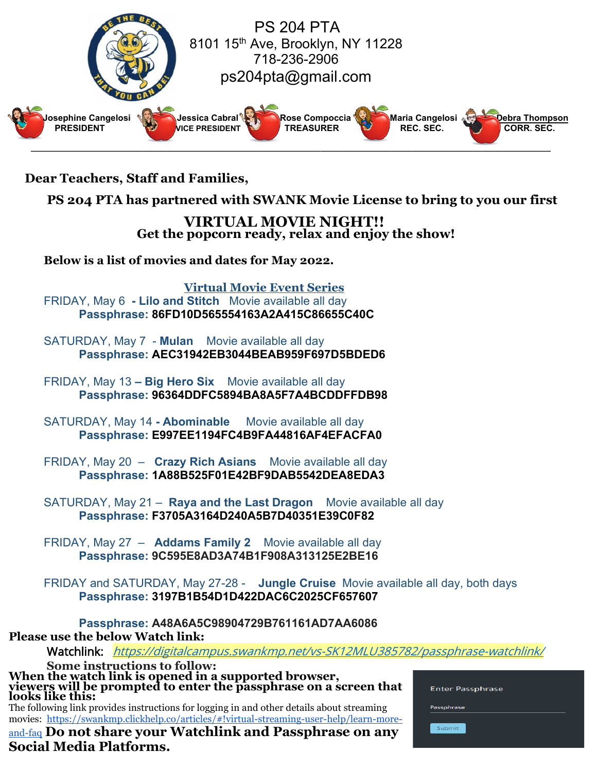

 **Dear Teachers, Staff and Families,**

 **PS 204 PTA has partnered with SWANK Movie License to bring to you our first**

**VIRTUAL MOVIE NIGHT!! Get the popcorn ready, relax and enjoy the show!**

**Below is a list of movies and dates for May 2022.**

**Virtual Movie Event Series** FRIDAY, May 6 **- Lilo and Stitch** Movie available all day **Passphrase: 86FD10D565554163A2A415C86655C40C**

SATURDAY, May 7 - **Mulan** Movie available all day **Passphrase: AEC31942EB3044BEAB959F697D5BDED6**

FRIDAY, May 13 **– Big Hero Six** Movie available all day **Passphrase: 96364DDFC5894BA8A5F7A4BCDDFFDB98**

SATURDAY, May 14 **- Abominable** Movie available all day **Passphrase: E997EE1194FC4B9FA44816AF4EFACFA0**

FRIDAY, May 20 – **Crazy Rich Asians** Movie available all day **Passphrase: 1A88B525F01E42BF9DAB5542DEA8EDA3**

SATURDAY, May 21 – **Raya and the Last Dragon** Movie available all day **Passphrase: F3705A3164D240A5B7D40351E39C0F82**

FRIDAY, May 27 – **Addams Family 2** Movie available all day **Passphrase: 9C595E8AD3A74B1F908A313125E2BE16**

FRIDAY and SATURDAY, May 27-28 - **Jungle Cruise** Movie available all day, both days **Passphrase: 3197B1B54D1D422DAC6C2025CF657607**

**Passphrase: A48A6A5C98904729B761161AD7AA6086 Please use the below Watch link:**

Watchlink: <https://digitalcampus.swankmp.net/vs-SK12MLU385782/passphrase-watchlink/>

**Some instructions to follow:**<br>When the <u>wa</u>tch link is opened in a supported browser, **When the watch link is opened in a supported browser, viewers will be prompted to enter the passphrase on a screen that looks like this:** The following link provides instructions for logging in and other details about streaming

movies: [https://swankmp.clickhelp.co/articles/#!virtual-streaming-user-help/learn-more-](https://swankmp.clickhelp.co/articles/virtual-streaming-user-help/learn-more-and-faq)

[and-faq](https://swankmp.clickhelp.co/articles/virtual-streaming-user-help/learn-more-and-faq) **Do not share your Watchlink and Passphrase on any Social Media Platforms.**

| <b>Enter Passphrase</b> |  |  |  |
|-------------------------|--|--|--|
| Passphrase              |  |  |  |
| Submit                  |  |  |  |
|                         |  |  |  |